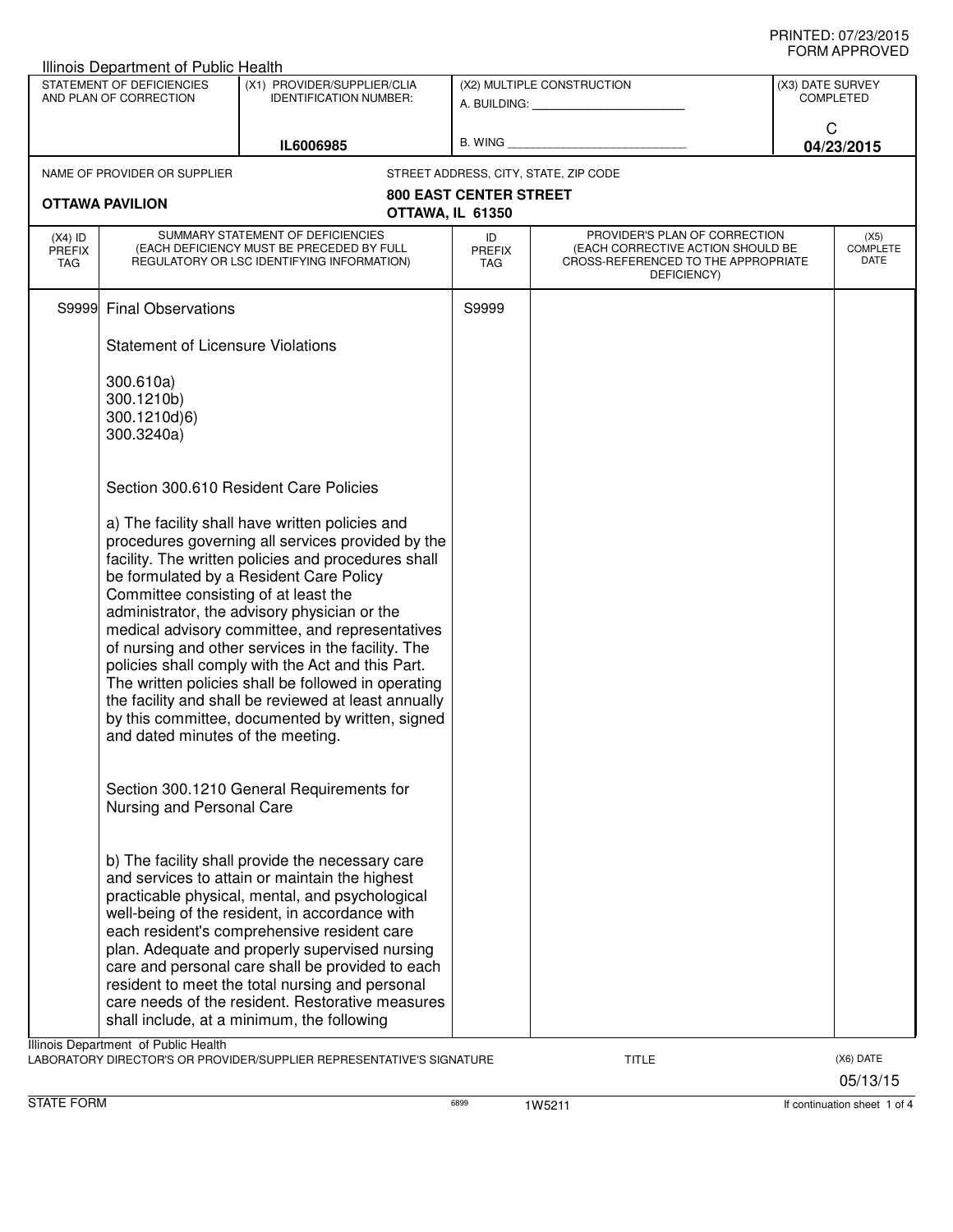|                                                     | Illinois Department of Public Health                                                                                                                                                                                                                                                                                                                                                                                                                                                                                                                                                                                                                                 |                                                                                                                                                                                                                                                                                                                                                                                                                                                                                                                   |                                   |                                                                                                                          |                                      |                                 |
|-----------------------------------------------------|----------------------------------------------------------------------------------------------------------------------------------------------------------------------------------------------------------------------------------------------------------------------------------------------------------------------------------------------------------------------------------------------------------------------------------------------------------------------------------------------------------------------------------------------------------------------------------------------------------------------------------------------------------------------|-------------------------------------------------------------------------------------------------------------------------------------------------------------------------------------------------------------------------------------------------------------------------------------------------------------------------------------------------------------------------------------------------------------------------------------------------------------------------------------------------------------------|-----------------------------------|--------------------------------------------------------------------------------------------------------------------------|--------------------------------------|---------------------------------|
| STATEMENT OF DEFICIENCIES<br>AND PLAN OF CORRECTION |                                                                                                                                                                                                                                                                                                                                                                                                                                                                                                                                                                                                                                                                      | (X1) PROVIDER/SUPPLIER/CLIA<br><b>IDENTIFICATION NUMBER:</b>                                                                                                                                                                                                                                                                                                                                                                                                                                                      | (X2) MULTIPLE CONSTRUCTION        |                                                                                                                          | (X3) DATE SURVEY<br><b>COMPLETED</b> |                                 |
|                                                     |                                                                                                                                                                                                                                                                                                                                                                                                                                                                                                                                                                                                                                                                      | IL6006985                                                                                                                                                                                                                                                                                                                                                                                                                                                                                                         | $B.$ WING $\_$                    |                                                                                                                          | C                                    | 04/23/2015                      |
|                                                     | NAME OF PROVIDER OR SUPPLIER                                                                                                                                                                                                                                                                                                                                                                                                                                                                                                                                                                                                                                         |                                                                                                                                                                                                                                                                                                                                                                                                                                                                                                                   |                                   | STREET ADDRESS, CITY, STATE, ZIP CODE                                                                                    |                                      |                                 |
|                                                     | <b>OTTAWA PAVILION</b>                                                                                                                                                                                                                                                                                                                                                                                                                                                                                                                                                                                                                                               | OTTAWA, IL 61350                                                                                                                                                                                                                                                                                                                                                                                                                                                                                                  | <b>800 EAST CENTER STREET</b>     |                                                                                                                          |                                      |                                 |
| $(X4)$ ID<br><b>PREFIX</b><br>TAG                   |                                                                                                                                                                                                                                                                                                                                                                                                                                                                                                                                                                                                                                                                      | SUMMARY STATEMENT OF DEFICIENCIES<br>(EACH DEFICIENCY MUST BE PRECEDED BY FULL<br>REGULATORY OR LSC IDENTIFYING INFORMATION)                                                                                                                                                                                                                                                                                                                                                                                      | ID<br><b>PREFIX</b><br><b>TAG</b> | PROVIDER'S PLAN OF CORRECTION<br>(EACH CORRECTIVE ACTION SHOULD BE<br>CROSS-REFERENCED TO THE APPROPRIATE<br>DEFICIENCY) |                                      | (X5)<br><b>COMPLETE</b><br>DATE |
|                                                     | S9999 Final Observations                                                                                                                                                                                                                                                                                                                                                                                                                                                                                                                                                                                                                                             |                                                                                                                                                                                                                                                                                                                                                                                                                                                                                                                   | S9999                             |                                                                                                                          |                                      |                                 |
|                                                     | <b>Statement of Licensure Violations</b>                                                                                                                                                                                                                                                                                                                                                                                                                                                                                                                                                                                                                             |                                                                                                                                                                                                                                                                                                                                                                                                                                                                                                                   |                                   |                                                                                                                          |                                      |                                 |
|                                                     | 300.610a)<br>300.1210b)<br>300.1210d)6)<br>300.3240a)                                                                                                                                                                                                                                                                                                                                                                                                                                                                                                                                                                                                                |                                                                                                                                                                                                                                                                                                                                                                                                                                                                                                                   |                                   |                                                                                                                          |                                      |                                 |
|                                                     |                                                                                                                                                                                                                                                                                                                                                                                                                                                                                                                                                                                                                                                                      | Section 300.610 Resident Care Policies                                                                                                                                                                                                                                                                                                                                                                                                                                                                            |                                   |                                                                                                                          |                                      |                                 |
|                                                     | a) The facility shall have written policies and<br>procedures governing all services provided by the<br>facility. The written policies and procedures shall<br>be formulated by a Resident Care Policy<br>Committee consisting of at least the<br>administrator, the advisory physician or the<br>medical advisory committee, and representatives<br>of nursing and other services in the facility. The<br>policies shall comply with the Act and this Part.<br>The written policies shall be followed in operating<br>the facility and shall be reviewed at least annually<br>by this committee, documented by written, signed<br>and dated minutes of the meeting. |                                                                                                                                                                                                                                                                                                                                                                                                                                                                                                                   |                                   |                                                                                                                          |                                      |                                 |
|                                                     | Nursing and Personal Care                                                                                                                                                                                                                                                                                                                                                                                                                                                                                                                                                                                                                                            | Section 300.1210 General Requirements for                                                                                                                                                                                                                                                                                                                                                                                                                                                                         |                                   |                                                                                                                          |                                      |                                 |
|                                                     |                                                                                                                                                                                                                                                                                                                                                                                                                                                                                                                                                                                                                                                                      | b) The facility shall provide the necessary care<br>and services to attain or maintain the highest<br>practicable physical, mental, and psychological<br>well-being of the resident, in accordance with<br>each resident's comprehensive resident care<br>plan. Adequate and properly supervised nursing<br>care and personal care shall be provided to each<br>resident to meet the total nursing and personal<br>care needs of the resident. Restorative measures<br>shall include, at a minimum, the following |                                   |                                                                                                                          |                                      |                                 |
|                                                     | Illinois Department of Public Health                                                                                                                                                                                                                                                                                                                                                                                                                                                                                                                                                                                                                                 | LABORATORY DIRECTOR'S OR PROVIDER/SUPPLIER REPRESENTATIVE'S SIGNATURE                                                                                                                                                                                                                                                                                                                                                                                                                                             |                                   | <b>TITLE</b>                                                                                                             |                                      | (X6) DATE<br>05/13/15           |

STATE FORM **6899 1W5211 1W5211 If continuation sheet 1 of 4**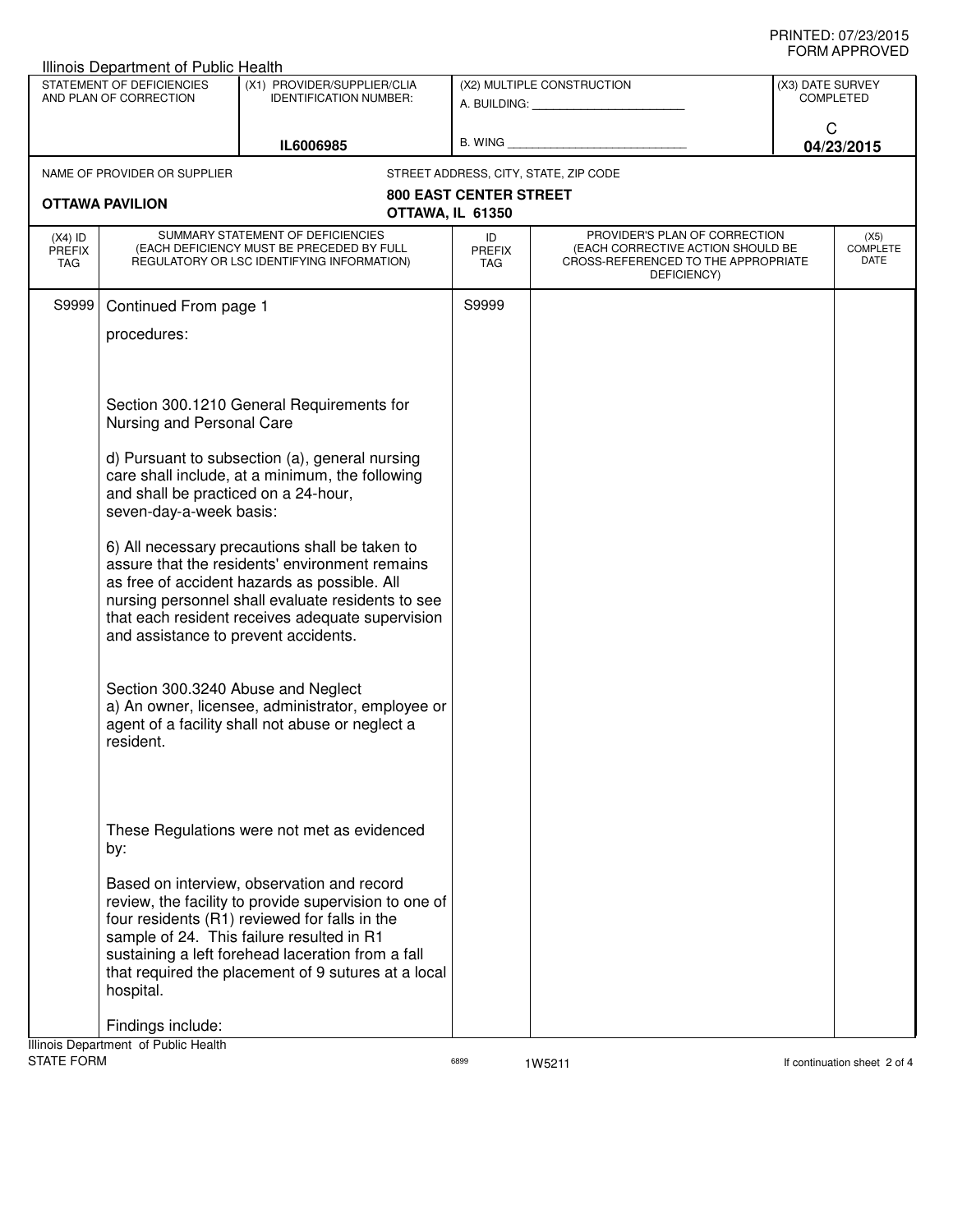| Illinois Department of Public Health                |                                                                                                                              |                                                                                                                                                                                                                                                                                                               |                                                         |                                                                                                                          |                                      |  |  |
|-----------------------------------------------------|------------------------------------------------------------------------------------------------------------------------------|---------------------------------------------------------------------------------------------------------------------------------------------------------------------------------------------------------------------------------------------------------------------------------------------------------------|---------------------------------------------------------|--------------------------------------------------------------------------------------------------------------------------|--------------------------------------|--|--|
| STATEMENT OF DEFICIENCIES<br>AND PLAN OF CORRECTION |                                                                                                                              | (X1) PROVIDER/SUPPLIER/CLIA<br><b>IDENTIFICATION NUMBER:</b>                                                                                                                                                                                                                                                  | (X2) MULTIPLE CONSTRUCTION<br>A. BUILDING: A. BUILDING: |                                                                                                                          | (X3) DATE SURVEY<br><b>COMPLETED</b> |  |  |
| IL6006985                                           |                                                                                                                              |                                                                                                                                                                                                                                                                                                               |                                                         | C<br>04/23/2015                                                                                                          |                                      |  |  |
|                                                     | NAME OF PROVIDER OR SUPPLIER                                                                                                 |                                                                                                                                                                                                                                                                                                               |                                                         | STREET ADDRESS, CITY, STATE, ZIP CODE                                                                                    |                                      |  |  |
| OTTAWA PAVILION<br>OTTAWA, IL 61350                 |                                                                                                                              | <b>800 EAST CENTER STREET</b>                                                                                                                                                                                                                                                                                 |                                                         |                                                                                                                          |                                      |  |  |
| $(X4)$ ID<br><b>PREFIX</b><br>TAG                   | SUMMARY STATEMENT OF DEFICIENCIES<br>(EACH DEFICIENCY MUST BE PRECEDED BY FULL<br>REGULATORY OR LSC IDENTIFYING INFORMATION) |                                                                                                                                                                                                                                                                                                               | ID<br><b>PREFIX</b><br>TAG                              | PROVIDER'S PLAN OF CORRECTION<br>(EACH CORRECTIVE ACTION SHOULD BE<br>CROSS-REFERENCED TO THE APPROPRIATE<br>DEFICIENCY) | (X5)<br><b>COMPLETE</b><br>DATE      |  |  |
| S9999                                               | Continued From page 1                                                                                                        |                                                                                                                                                                                                                                                                                                               | S9999                                                   |                                                                                                                          |                                      |  |  |
|                                                     | procedures:                                                                                                                  |                                                                                                                                                                                                                                                                                                               |                                                         |                                                                                                                          |                                      |  |  |
|                                                     | Section 300.1210 General Requirements for<br>Nursing and Personal Care                                                       |                                                                                                                                                                                                                                                                                                               |                                                         |                                                                                                                          |                                      |  |  |
|                                                     | and shall be practiced on a 24-hour,<br>seven-day-a-week basis:                                                              | d) Pursuant to subsection (a), general nursing<br>care shall include, at a minimum, the following                                                                                                                                                                                                             |                                                         |                                                                                                                          |                                      |  |  |
|                                                     | and assistance to prevent accidents.                                                                                         | 6) All necessary precautions shall be taken to<br>assure that the residents' environment remains<br>as free of accident hazards as possible. All<br>nursing personnel shall evaluate residents to see<br>that each resident receives adequate supervision                                                     |                                                         |                                                                                                                          |                                      |  |  |
|                                                     | Section 300.3240 Abuse and Neglect<br>resident.                                                                              | a) An owner, licensee, administrator, employee or<br>agent of a facility shall not abuse or neglect a                                                                                                                                                                                                         |                                                         |                                                                                                                          |                                      |  |  |
|                                                     | by:                                                                                                                          | These Regulations were not met as evidenced                                                                                                                                                                                                                                                                   |                                                         |                                                                                                                          |                                      |  |  |
|                                                     | hospital.                                                                                                                    | Based on interview, observation and record<br>review, the facility to provide supervision to one of<br>four residents (R1) reviewed for falls in the<br>sample of 24. This failure resulted in R1<br>sustaining a left forehead laceration from a fall<br>that required the placement of 9 sutures at a local |                                                         |                                                                                                                          |                                      |  |  |
|                                                     | Findings include:<br>Ilinoin Department, of Public Hoolth                                                                    |                                                                                                                                                                                                                                                                                                               |                                                         |                                                                                                                          |                                      |  |  |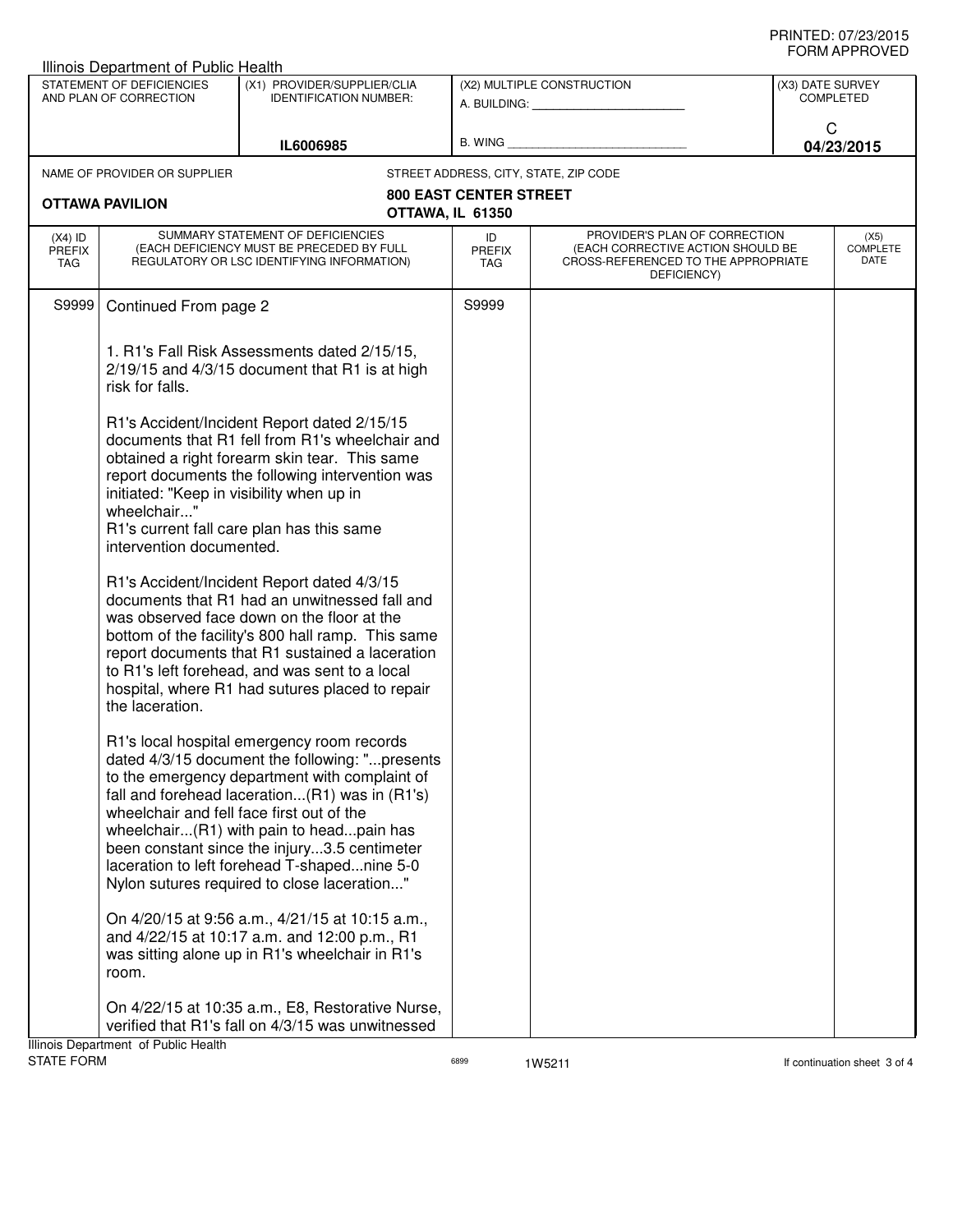| <b>Illinois Department of Public Health</b>                                                                                      |                                                                                                                                                                                                                                                                                                                                                                                                                                                                                       |                                                                                                                                                                                                                                                                                                                                                                                            |                                                         |                                                                                                                          |                                                         |                                 |  |
|----------------------------------------------------------------------------------------------------------------------------------|---------------------------------------------------------------------------------------------------------------------------------------------------------------------------------------------------------------------------------------------------------------------------------------------------------------------------------------------------------------------------------------------------------------------------------------------------------------------------------------|--------------------------------------------------------------------------------------------------------------------------------------------------------------------------------------------------------------------------------------------------------------------------------------------------------------------------------------------------------------------------------------------|---------------------------------------------------------|--------------------------------------------------------------------------------------------------------------------------|---------------------------------------------------------|---------------------------------|--|
| STATEMENT OF DEFICIENCIES<br>(X1) PROVIDER/SUPPLIER/CLIA<br>AND PLAN OF CORRECTION<br><b>IDENTIFICATION NUMBER:</b><br>IL6006985 |                                                                                                                                                                                                                                                                                                                                                                                                                                                                                       |                                                                                                                                                                                                                                                                                                                                                                                            | (X2) MULTIPLE CONSTRUCTION<br>A. BUILDING: A. BUILDING: |                                                                                                                          | (X3) DATE SURVEY<br><b>COMPLETED</b><br>C<br>04/23/2015 |                                 |  |
|                                                                                                                                  |                                                                                                                                                                                                                                                                                                                                                                                                                                                                                       | B. WING                                                                                                                                                                                                                                                                                                                                                                                    |                                                         |                                                                                                                          |                                                         |                                 |  |
|                                                                                                                                  | NAME OF PROVIDER OR SUPPLIER                                                                                                                                                                                                                                                                                                                                                                                                                                                          |                                                                                                                                                                                                                                                                                                                                                                                            |                                                         | STREET ADDRESS, CITY, STATE, ZIP CODE                                                                                    |                                                         |                                 |  |
|                                                                                                                                  | <b>OTTAWA PAVILION</b>                                                                                                                                                                                                                                                                                                                                                                                                                                                                | OTTAWA, IL 61350                                                                                                                                                                                                                                                                                                                                                                           | <b>800 EAST CENTER STREET</b>                           |                                                                                                                          |                                                         |                                 |  |
| $(X4)$ ID<br><b>PREFIX</b><br>TAG                                                                                                |                                                                                                                                                                                                                                                                                                                                                                                                                                                                                       | SUMMARY STATEMENT OF DEFICIENCIES<br>(EACH DEFICIENCY MUST BE PRECEDED BY FULL<br>REGULATORY OR LSC IDENTIFYING INFORMATION)                                                                                                                                                                                                                                                               | ID<br><b>PREFIX</b><br>TAG                              | PROVIDER'S PLAN OF CORRECTION<br>(EACH CORRECTIVE ACTION SHOULD BE<br>CROSS-REFERENCED TO THE APPROPRIATE<br>DEFICIENCY) |                                                         | (X5)<br><b>COMPLETE</b><br>DATE |  |
| S9999                                                                                                                            | Continued From page 2<br>1. R1's Fall Risk Assessments dated 2/15/15,<br>2/19/15 and 4/3/15 document that R1 is at high<br>risk for falls.<br>R1's Accident/Incident Report dated 2/15/15<br>documents that R1 fell from R1's wheelchair and<br>obtained a right forearm skin tear. This same<br>report documents the following intervention was<br>initiated: "Keep in visibility when up in<br>wheelchair"<br>R1's current fall care plan has this same<br>intervention documented. |                                                                                                                                                                                                                                                                                                                                                                                            | S9999                                                   |                                                                                                                          |                                                         |                                 |  |
|                                                                                                                                  |                                                                                                                                                                                                                                                                                                                                                                                                                                                                                       |                                                                                                                                                                                                                                                                                                                                                                                            |                                                         |                                                                                                                          |                                                         |                                 |  |
|                                                                                                                                  |                                                                                                                                                                                                                                                                                                                                                                                                                                                                                       |                                                                                                                                                                                                                                                                                                                                                                                            |                                                         |                                                                                                                          |                                                         |                                 |  |
|                                                                                                                                  | the laceration.                                                                                                                                                                                                                                                                                                                                                                                                                                                                       | R1's Accident/Incident Report dated 4/3/15<br>documents that R1 had an unwitnessed fall and<br>was observed face down on the floor at the<br>bottom of the facility's 800 hall ramp. This same<br>report documents that R1 sustained a laceration<br>to R1's left forehead, and was sent to a local<br>hospital, where R1 had sutures placed to repair                                     |                                                         |                                                                                                                          |                                                         |                                 |  |
|                                                                                                                                  | wheelchair and fell face first out of the                                                                                                                                                                                                                                                                                                                                                                                                                                             | R1's local hospital emergency room records<br>dated 4/3/15 document the following: "presents<br>to the emergency department with complaint of<br>fall and forehead laceration(R1) was in (R1's)<br>wheelchair(R1) with pain to headpain has<br>been constant since the injury3.5 centimeter<br>laceration to left forehead T-shapednine 5-0<br>Nylon sutures required to close laceration" |                                                         |                                                                                                                          |                                                         |                                 |  |
|                                                                                                                                  | room.                                                                                                                                                                                                                                                                                                                                                                                                                                                                                 | On 4/20/15 at 9:56 a.m., 4/21/15 at 10:15 a.m.,<br>and 4/22/15 at 10:17 a.m. and 12:00 p.m., R1<br>was sitting alone up in R1's wheelchair in R1's                                                                                                                                                                                                                                         |                                                         |                                                                                                                          |                                                         |                                 |  |
|                                                                                                                                  | Illinois Department of Public Health                                                                                                                                                                                                                                                                                                                                                                                                                                                  | On 4/22/15 at 10:35 a.m., E8, Restorative Nurse,<br>verified that R1's fall on 4/3/15 was unwitnessed                                                                                                                                                                                                                                                                                      |                                                         |                                                                                                                          |                                                         |                                 |  |